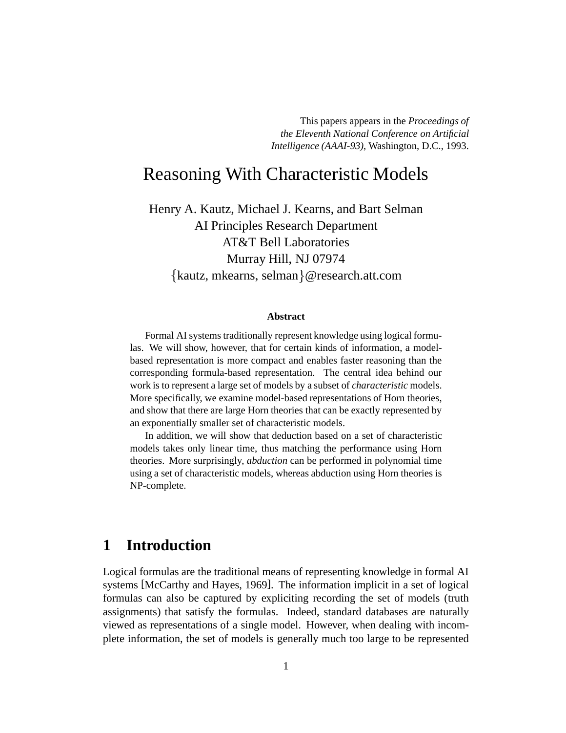This papers appears in the *Proceedings of the Eleventh National Conference on Artificial Intelligence (AAAI-93)*, Washington, D.C., 1993.

# Reasoning With Characteristic Models

Henry A. Kautz, Michael J. Kearns, and Bart Selman AI Principles Research Department AT&T Bell Laboratories Murray Hill, NJ 07974 kautz, mkearns, selman @research.att.com

#### **Abstract**

Formal AI systems traditionally represent knowledge using logical formulas. We will show, however, that for certain kinds of information, a modelbased representation is more compact and enables faster reasoning than the corresponding formula-based representation. The central idea behind our work is to represent a large set of models by a subset of *characteristic* models. More specifically, we examine model-based representations of Horn theories, and show that there are large Horn theories that can be exactly represented by an exponentially smaller set of characteristic models.

In addition, we will show that deduction based on a set of characteristic models takes only linear time, thus matching the performance using Horn theories. More surprisingly, *abduction* can be performed in polynomial time using a set of characteristic models, whereas abduction using Horn theories is NP-complete.

# **1 Introduction**

Logical formulas are the traditional means of representing knowledge in formal AI systems [McCarthy and Hayes, 1969]. The information implicit in a set of logical formulas can also be captured by expliciting recording the set of models (truth assignments) that satisfy the formulas. Indeed, standard databases are naturally viewed as representations of a single model. However, when dealing with incomplete information, the set of models is generally much too large to be represented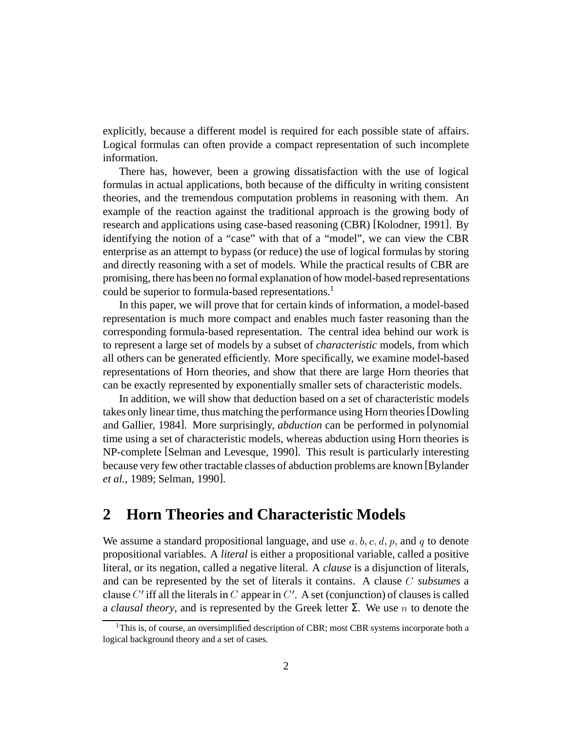explicitly, because a different model is required for each possible state of affairs. Logical formulas can often provide a compact representation of such incomplete information.

There has, however, been a growing dissatisfaction with the use of logical formulas in actual applications, both because of the difficulty in writing consistent theories, and the tremendous computation problems in reasoning with them. An example of the reaction against the traditional approach is the growing body of research and applications using case-based reasoning (CBR) [Kolodner, 1991]. By identifying the notion of a "case" with that of a "model", we can view the CBR enterprise as an attempt to bypass (or reduce) the use of logical formulas by storing and directly reasoning with a set of models. While the practical results of CBR are promising, there has been no formal explanation of how model-based representations could be superior to formula-based representations.<sup>1</sup>

In this paper, we will prove that for certain kinds of information, a model-based representation is much more compact and enables much faster reasoning than the corresponding formula-based representation. The central idea behind our work is to represent a large set of models by a subset of *characteristic* models, from which all others can be generated efficiently. More specifically, we examine model-based representations of Horn theories, and show that there are large Horn theories that can be exactly represented by exponentially smaller sets of characteristic models.

In addition, we will show that deduction based on a set of characteristic models takes only linear time, thus matching the performance using Horn theories[Dowling and Gallier, 1984]. More surprisingly, *abduction* can be performed in polynomial time using a set of characteristic models, whereas abduction using Horn theories is NP-complete [Selman and Levesque, 1990]. This result is particularly interesting because very few other tractable classes of abduction problems are known [Bylander *et al.*, 1989; Selman, 1990].

# **2 Horn Theories and Characteristic Models**

We assume a standard propositional language, and use  $a, b, c, d, p$ , and q to denote propositional variables. A *literal* is either a propositional variable, called a positive literal, or its negation, called a negative literal. A *clause* is a disjunction of literals, and can be represented by the set of literals it contains. A clause  $C$  subsumes a clause  $C'$  iff all the literals in  $C$  appear in  $C'$ . A set (conjunction) of clauses is called a *clausal theory*, and is represented by the Greek letter  $\Sigma$ . We use *n* to denote the

<sup>&</sup>lt;sup>1</sup>This is, of course, an oversimplified description of CBR; most CBR systems incorporate both a logical background theory and a set of cases.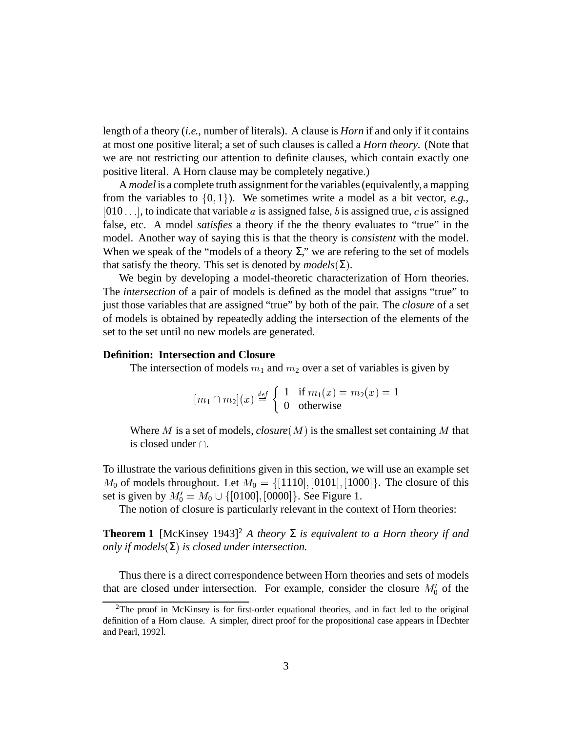length of a theory (*i.e.*, number of literals). A clause is *Horn* if and only if it contains at most one positive literal; a set of such clauses is called a *Horn theory*. (Note that we are not restricting our attention to definite clauses, which contain exactly one positive literal. A Horn clause may be completely negative.)

A *model* is a complete truth assignmentfor the variables(equivalently, a mapping from the variables to  $\{0, 1\}$ ). We sometimes write a model as a bit vector, *e.g.*, [010  $\ldots$ ], to indicate that variable  $a$  is assigned false,  $b$  is assigned true,  $c$  is assigned false, etc. A model *satisfies* a theory if the the theory evaluates to "true" in the model. Another way of saying this is that the theory is *consistent* with the model. When we speak of the "models of a theory  $\Sigma$ ," we are refering to the set of models that satisfy the theory. This set is denoted by  $models(\Sigma)$ .

We begin by developing a model-theoretic characterization of Horn theories. The *intersection* of a pair of models is defined as the model that assigns "true" to just those variables that are assigned "true" by both of the pair. The *closure* of a set of models is obtained by repeatedly adding the intersection of the elements of the set to the set until no new models are generated.

### **Definition: Intersection and Closure**

The intersection of models  $m_1$  and  $m_2$  over a set of variables is given by

$$
[m_1 \cap m_2](x) \stackrel{\text{def}}{=} \begin{cases} 1 & \text{if } m_1(x) = m_2(x) = 1 \\ 0 & \text{otherwise} \end{cases}
$$

Where M is a set of models, *closure*  $(M)$  is the smallest set containing M that is closed under  $\cap$ .

To illustrate the various definitions given in this section, we will use an example set  $M_0$  of models throughout. Let  $M_0 = \{[1110], [010$  $[1110], [0101], [1000]$ . The closure of this set is given by  $M_0' = M_0 \cup \{[0100], [0000]\}$ . See Figure 1.

The notion of closure is particularly relevant in the context of Horn theories:

**Theorem 1** [McKinsey 1943]<sup>2</sup> *A theory*  $\Sigma$  *is equivalent to a Horn theory if and only if*  $models(Σ)$  *is closed under intersection.* 

Thus there is a direct correspondence between Horn theories and sets of models that are closed under intersection. For example, consider the closure  $M'_0$  of the

<sup>2</sup>The proof in McKinsey is for first-order equational theories, and in fact led to the original definition of a Horn clause. A simpler, direct proof for the propositional case appears in [Dechter and Pearl, 1992].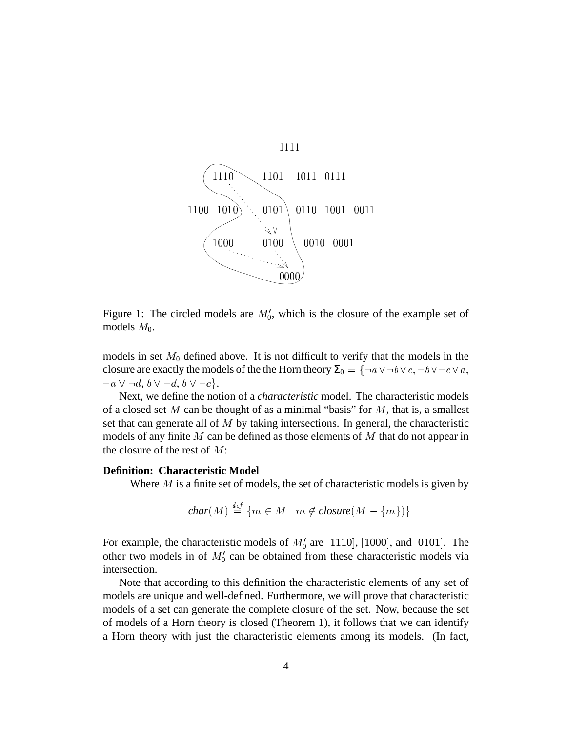

Figure 1: The circled models are  $M'_0$ , which is the closure of the example set of models  $M_0$ .

models in set  $M_0$  defined above. It is not difficult to verify that the models in the closure are exactly the models of the the Horn theory  $\Sigma_0 = \{\neg a \vee \neg b \vee c, \neg b \vee \neg c \vee a, \neg b \vee \neg c \vee a, \neg b \vee \neg c \vee a, \neg b \vee \neg c \vee a, \neg b \vee \neg c \vee a, \neg b \vee \neg c \vee a, \neg b \vee \neg c \vee a, \neg b \vee \neg c \vee a, \neg b \vee \neg c \vee a, \neg b \vee \neg c \vee a, \neg b \vee$  $\neg a \vee \neg d, b \vee \neg d, b \vee \neg c$  }.

Next, we define the notion of a *characteristic* model. The characteristic models of a closed set  $M$  can be thought of as a minimal "basis" for  $M$ , that is, a smallest set that can generate all of  $M$  by taking intersections. In general, the characteristic models of any finite  $M$  can be defined as those elements of  $M$  that do not appear in the closure of the rest of  $M$ :

#### **Definition: Characteristic Model**

Where  $M$  is a finite set of models, the set of characteristic models is given by

$$
char(M) \stackrel{\scriptscriptstyle def}{=} \{ m \in M \mid m \notin closure(M - \{ m \}) \}
$$

For example, the characteristic models of  $M'_0$  are [1110], [1000], and [0101]. The other two models in of  $M'_0$  can be obtained from these characteristic models via intersection.

Note that according to this definition the characteristic elements of any set of models are unique and well-defined. Furthermore, we will prove that characteristic models of a set can generate the complete closure of the set. Now, because the set of models of a Horn theory is closed (Theorem 1), it follows that we can identify a Horn theory with just the characteristic elements among its models. (In fact,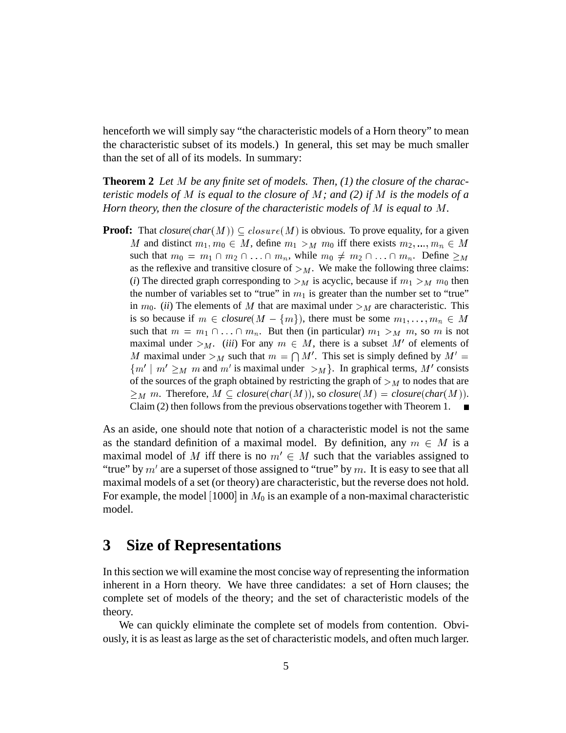henceforth we will simply say "the characteristic models of a Horn theory" to mean the characteristic subset of its models.) In general, this set may be much smaller than the set of all of its models. In summary:

**Theorem 2** Let M be any finite set of models. Then, (1) the closure of the charac*teristic* models of  $M$  *is equal to the closure of*  $M$ *; and* (2) *if*  $M$  *is the models of a Horn theory, then the closure of the characteristic models of*  $M$  *is equal to*  $M$ *.* 

**Proof:** That  $closure(char(M)) \subseteq closure(M)$  is obvious. To prove equality, for a given M and distinct  $m_1, m_0 \in M$ , define  $m_1 > M$   $m_0$  iff there exists  $m_2, ..., m_n \in M$ such that  $m_0 = m_1 \cap m_2 \cap \ldots \cap m_n$ , while  $m_0 \neq m_2 \cap \ldots \cap m_n$ . Define  $\geq_M$ as the reflexive and transitive closure of  $\geq_M$ . We make the following three claims: (*i*) The directed graph corresponding to  $\geq_M$  is acyclic, because if  $m_1 \geq_M m_0$  then the number of variables set to "true" in  $m_1$  is greater than the number set to "true" in  $m_0$ . *(ii)* The elements of M that are maximal under  $\geq_M$  are characteristic. This is so because if  $m \in closure(M - \{m\})$ , there must be some  $m_1, \ldots, m_n \in M$ such that  $m = m_1 \cap ... \cap m_n$ . But then (in particular)  $m_1 >_M m$ , so  $m$  is not maximal under  $>_{M}$ . *(iii)* For any  $m \in M$ , there is a subset M' of elements of M maximal under  $>_M$  such that  $m = \bigcap M'$ . This set is simply defined by  $M' =$  $\{m' \mid m' \geq_M m \text{ and } m' \text{ is maximal under } >_M \}$ . In graphical terms, M' consists of the sources of the graph obtained by restricting the graph of  $\geq_M$  to nodes that are  $\geq_M m$ . Therefore,  $M \subseteq closure(char(M))$ , so *closure*( $M$ ) = *closure*( $char(M)$ ). Claim (2) then follows from the previous observations together with Theorem 1.  $\blacksquare$ 

As an aside, one should note that notion of a characteristic model is not the same as the standard definition of a maximal model. By definition, any  $m \in M$  is a maximal model of M iff there is no  $m' \in M$  such that the variables assigned to "true" by  $m'$  are a superset of those assigned to "true" by  $m$ . It is easy to see that all maximal models of a set (or theory) are characteristic, but the reverse does not hold. For example, the model  $[1000]$  in  $M_0$  is an example of a non-maximal characteristic model.

### **3 Size of Representations**

In thissection we will examine the most concise way of representing the information inherent in a Horn theory. We have three candidates: a set of Horn clauses; the complete set of models of the theory; and the set of characteristic models of the theory.

We can quickly eliminate the complete set of models from contention. Obviously, it is as least as large asthe set of characteristic models, and often much larger.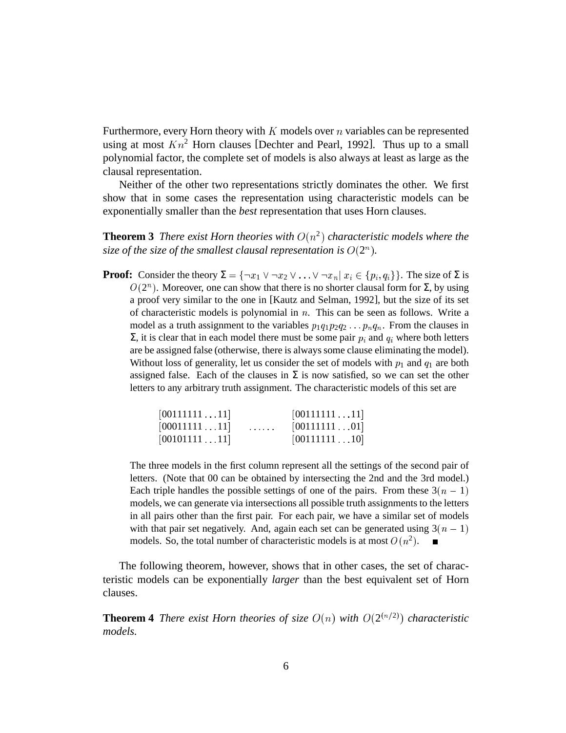Furthermore, every Horn theory with  $K$  models over  $n$  variables can be represented using at most  $Kn^2$  Horn clauses [Dechter and Pearl, 1992]. Thus up to a small polynomial factor, the complete set of models is also always at least as large as the clausal representation.

Neither of the other two representations strictly dominates the other. We first show that in some cases the representation using characteristic models can be exponentially smaller than the *best* representation that uses Horn clauses.

**Theorem 3** *There exist Horn theories with*  $O(n^2)$  *characteristic models where the size of the size of the smallest clausal representation is*  $O(2^n)$ .

**Proof:** Consider the theory  $\Sigma = \{\neg x_1 \vee \neg x_2 \vee \dots \vee \neg x_n | x_i \in \{p_i, q_i\}\}\.$  The size of  $\Sigma$  is  $O(2^n)$ . Moreover, one can show that there is no shorter clausal form for  $\Sigma$ , by using a proof very similar to the one in [Kautz and Selman, 1992], but the size of its set of characteristic models is polynomial in  $n$ . This can be seen as follows. Write a model as a truth assignment to the variables  $p_1 q_1 p_2 q_2 \ldots p_n q_n$ . From the clauses in  $\Sigma$ , it is clear that in each model there must be some pair  $p_i$  and  $q_i$  where both letters are be assigned false (otherwise, there is always some clause eliminating the model). Without loss of generality, let us consider the set of models with  $p_1$  and  $q_1$  are both assigned false. Each of the clauses in  $\Sigma$  is now satisfied, so we can set the other letters to any arbitrary truth assignment. The characteristic models of this set are

| [0011111111]      |                          | [0011111111] |  |
|-------------------|--------------------------|--------------|--|
| [0001111111]      | <b>Contract Contract</b> | [0011111101] |  |
| $[00101111 \ 11]$ |                          | [0011111110] |  |

The three models in the first column represent all the settings of the second pair of letters. (Note that 00 can be obtained by intersecting the 2nd and the 3rd model.) Each triple handles the possible settings of one of the pairs. From these  $3(n - 1)$ models, we can generate via intersections all possible truth assignments to the letters in all pairs other than the first pair. For each pair, we have a similar set of models with that pair set negatively. And, again each set can be generated using  $3(n - 1)$ models. So, the total number of characteristic models is at most  $O(n^2)$ .

The following theorem, however, shows that in other cases, the set of characteristic models can be exponentially *larger* than the best equivalent set of Horn clauses.

**Theorem 4** *There exist Horn theories of size*  $O(n)$  *with*  $O(2^{(n/2)})$  *characteristic models.*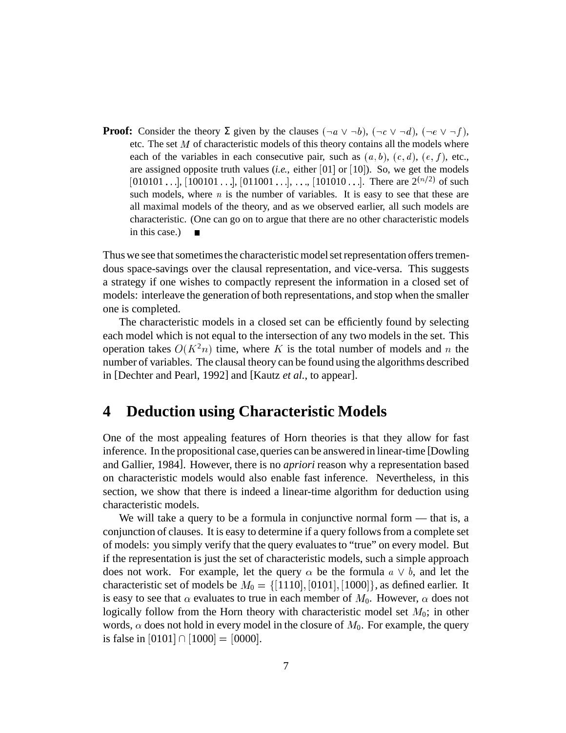**Proof:** Consider the theory  $\Sigma$  given by the clauses  $(\neg a \lor \neg b)$ ,  $(\neg c \lor \neg d)$ ,  $(\neg e \lor \neg f)$ , etc. The set  $M$  of characteristic models of this theory contains all the models where each of the variables in each consecutive pair, such as  $(a, b)$ ,  $(c, d)$ ,  $(e, f)$ , etc., are assigned opposite truth values  $(i.e.,$  either  $[01]$  or  $[10]$ ). So, we get the models  $[010101 \ldots]$ ,  $[100101 \ldots]$ ,  $[011001 \ldots]$ , ...,  $[101010 \ldots]$ . There are  $2^{(n/2)}$  of such such models, where  $n$  is the number of variables. It is easy to see that these are all maximal models of the theory, and as we observed earlier, all such models are characteristic. (One can go on to argue that there are no other characteristic models in this case.)

Thus we see that sometimes the characteristic model set representation offers tremendous space-savings over the clausal representation, and vice-versa. This suggests a strategy if one wishes to compactly represent the information in a closed set of models: interleave the generation of both representations, and stop when the smaller one is completed.

The characteristic models in a closed set can be efficiently found by selecting each model which is not equal to the intersection of any two models in the set. This operation takes  $O(K^2n)$  time, where K is the total number of models and n the number of variables. The clausal theory can be found using the algorithms described in [Dechter and Pearl, 1992] and [Kautz *et al.*, to appear].

### **4 Deduction using Characteristic Models**

One of the most appealing features of Horn theories is that they allow for fast inference. In the propositional case,queries can be answered in linear-time [Dowling and Gallier, 1984]. However, there is no *apriori* reason why a representation based on characteristic models would also enable fast inference. Nevertheless, in this section, we show that there is indeed a linear-time algorithm for deduction using characteristic models.

We will take a query to be a formula in conjunctive normal form — that is, a conjunction of clauses. It is easy to determine if a query followsfrom a complete set of models: you simply verify that the query evaluatesto "true" on every model. But if the representation is just the set of characteristic models, such a simple approach does not work. For example, let the query  $\alpha$  be the formula  $a \vee b$ , and let the characteristic set of models be  $M_0 = \{[1110], [010\}$  $[1110]$ ,  $[0101]$ ,  $[1000]$ }, as defined earlier. It is easy to see that  $\alpha$  evaluates to true in each member of  $M_0$ . However,  $\alpha$  does not logically follow from the Horn theory with characteristic model set  $M_0$ ; in other words,  $\alpha$  does not hold in every model in the closure of  $M_0$ . For example, the query is false in  $[0101] \cap [1000] = [0000]$ .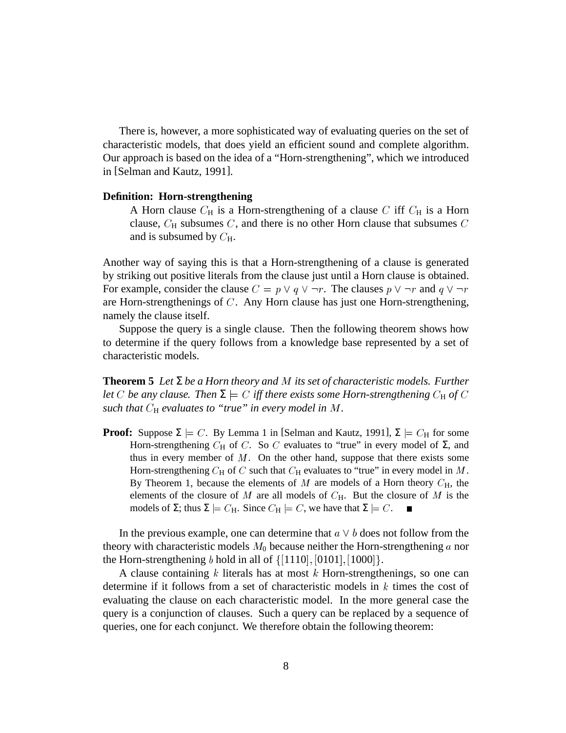There is, however, a more sophisticated way of evaluating queries on the set of characteristic models, that does yield an efficient sound and complete algorithm. Our approach is based on the idea of a "Horn-strengthening", which we introduced in [Selman and Kautz, 1991].

### **Definition: Horn-strengthening**

A Horn clause  $C_H$  is a Horn-strengthening of a clause C iff  $C_H$  is a Horn clause,  $C_H$  subsumes  $C$ , and there is no other Horn clause that subsumes  $C$ and is subsumed by  $C_{\rm H}$ .

Another way of saying this is that a Horn-strengthening of a clause is generated by striking out positive literals from the clause just until a Horn clause is obtained. For example, consider the clause  $C = p \vee q \vee \neg r$ . The clauses  $p \vee \neg r$  and  $q \vee \neg r$ are Horn-strengthenings of  $C$ . Any Horn clause has just one Horn-strengthening, namely the clause itself.

Suppose the query is a single clause. Then the following theorem shows how to determine if the query follows from a knowledge base represented by a set of characteristic models.

**Theorem 5** *Let* Σ *be a Horn theory and* ) *its set of characteristic models. Further let*  $C$  *be any clause. Then*  $\Sigma \models C$  *iff there exists some Horn-strengthening*  $C_H$  *of*  $C$ *such that*  $C_H$  *evaluates to "true" in every model in*  $M$ *.* 

**Proof:** Suppose  $\Sigma \models C$ . By Lemma 1 in [Selman and Kautz, 1991],  $\Sigma \models C_H$  for some Horn-strengthening  $C_H$  of C. So C evaluates to "true" in every model of  $\Sigma$ , and thus in every member of  $M$ . On the other hand, suppose that there exists some Horn-strengthening  $C_H$  of C such that  $C_H$  evaluates to "true" in every model in M. By Theorem 1, because the elements of  $M$  are models of a Horn theory  $C_H$ , the elements of the closure of  $M$  are all models of  $C_H$ . But the closure of  $M$  is the models of  $\Sigma$ ; thus  $\Sigma \models C_H$ . Since  $C_H \models C$ , we have that  $\Sigma \models C$ . П

In the previous example, one can determine that  $a \vee b$  does not follow from the theory with characteristic models  $M_0$  because neither the Horn-strengthening  $a$  nor the Horn-strengthening *b* hold in all of  $\{[1110], [0101], [1000]\}$ .

A clause containing  $k$  literals has at most  $k$  Horn-strengthenings, so one can determine if it follows from a set of characteristic models in  $k$  times the cost of evaluating the clause on each characteristic model. In the more general case the query is a conjunction of clauses. Such a query can be replaced by a sequence of queries, one for each conjunct. We therefore obtain the following theorem: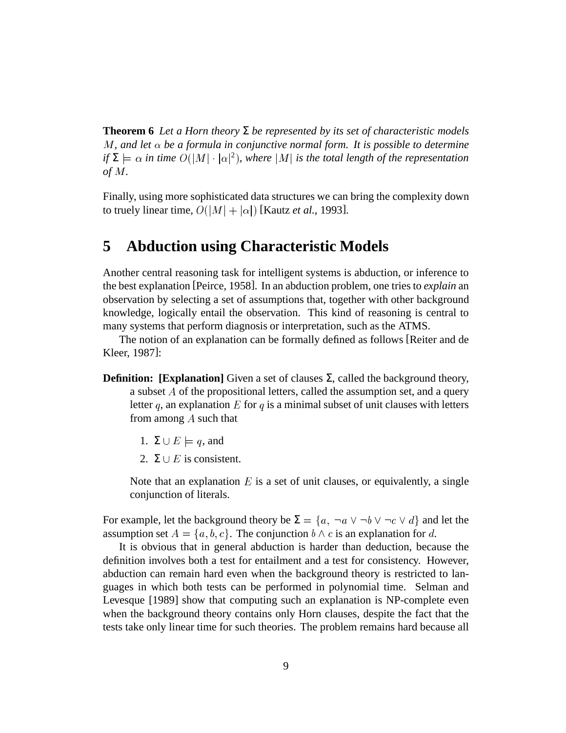**Theorem 6** Let a Horn theory  $\Sigma$  be represented by its set of characteristic models  $M$ , and let  $\alpha$  be a formula in conjunctive normal form. It is possible to determine  $if \Sigma \models \alpha$  *in time*  $O(|M| \cdot |\alpha|^2)$ , where  $|M|$  *is the total length of the representation of*  $M$ .

Finally, using more sophisticated data structures we can bring the complexity down to truely linear time,  $O(|M|+|\alpha|)$  [Kautz *et al.*, 1993].

# **5 Abduction using Characteristic Models**

Another central reasoning task for intelligent systems is abduction, or inference to the best explanation [Peirce, 1958]. In an abduction problem, one tries to *explain* an observation by selecting a set of assumptions that, together with other background knowledge, logically entail the observation. This kind of reasoning is central to many systems that perform diagnosis or interpretation, such as the ATMS.

The notion of an explanation can be formally defined as follows [Reiter and de Kleer, 1987]:

- **Definition: <b>[Explanation]** Given a set of clauses  $\Sigma$ , called the background theory, a subset  $A$  of the propositional letters, called the assumption set, and a query letter q, an explanation  $E$  for q is a minimal subset of unit clauses with letters from among  $A$  such that
	- 1.  $\Sigma \cup E \models q$ , and
	- 2.  $\Sigma \cup E$  is consistent.

Note that an explanation  $E$  is a set of unit clauses, or equivalently, a single conjunction of literals.

For example, let the background theory be  $\Sigma = \{a, \neg a \lor \neg b \lor \neg c \lor d\}$  and let the assumption set  $A = \{a, b, c\}$ . The conjunction  $b \wedge c$  is an explanation for d.

It is obvious that in general abduction is harder than deduction, because the definition involves both a test for entailment and a test for consistency. However, abduction can remain hard even when the background theory is restricted to languages in which both tests can be performed in polynomial time. Selman and Levesque [1989] show that computing such an explanation is NP-complete even when the background theory contains only Horn clauses, despite the fact that the tests take only linear time for such theories. The problem remains hard because all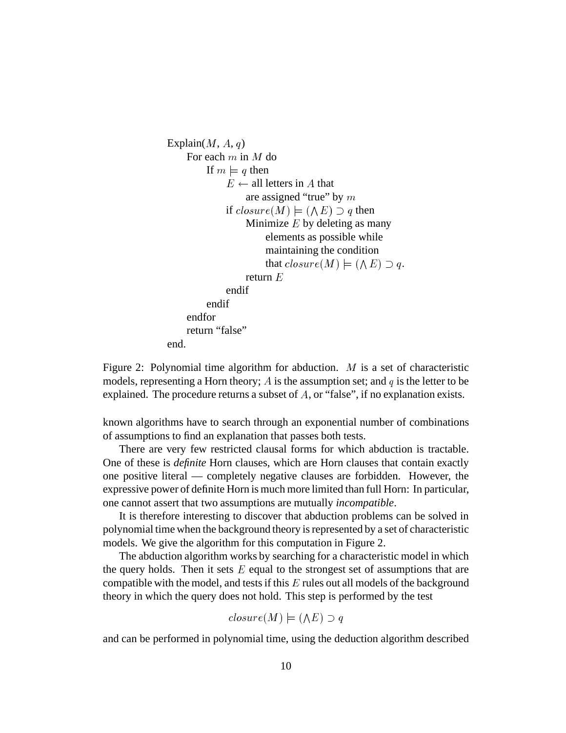```
Explain(M, A, q)For each m in M do
         If m \models q then
              E \leftarrow all letters in A that
                  are assigned "true" by mif closure(M) \models (\land E) \supset q then
                  Minimize E by deleting as many
                       elements as possible while
                       maintaining the condition
                        that closure(M) \models (\land E) \supset q.
                  return Eendif
         endif
    endfor
    return "false"
end.
```
Figure 2: Polynomial time algorithm for abduction.  $M$  is a set of characteristic models, representing a Horn theory; A is the assumption set; and  $q$  is the letter to be explained. The procedure returns a subset of  $A$ , or "false", if no explanation exists.

known algorithms have to search through an exponential number of combinations of assumptions to find an explanation that passes both tests.

There are very few restricted clausal forms for which abduction is tractable. One of these is *definite* Horn clauses, which are Horn clauses that contain exactly one positive literal — completely negative clauses are forbidden. However, the expressive power of definite Horn is much more limited than full Horn: In particular, one cannot assert that two assumptions are mutually *incompatible*.

It is therefore interesting to discover that abduction problems can be solved in polynomial time when the background theory is represented by a set of characteristic models. We give the algorithm for this computation in Figure 2.

The abduction algorithm works by searching for a characteristic model in which the query holds. Then it sets  $E$  equal to the strongest set of assumptions that are compatible with the model, and tests if this  $E$  rules out all models of the background theory in which the query does not hold. This step is performed by the test

$$
closure(M) \models (\land E) \supset q
$$

and can be performed in polynomial time, using the deduction algorithm described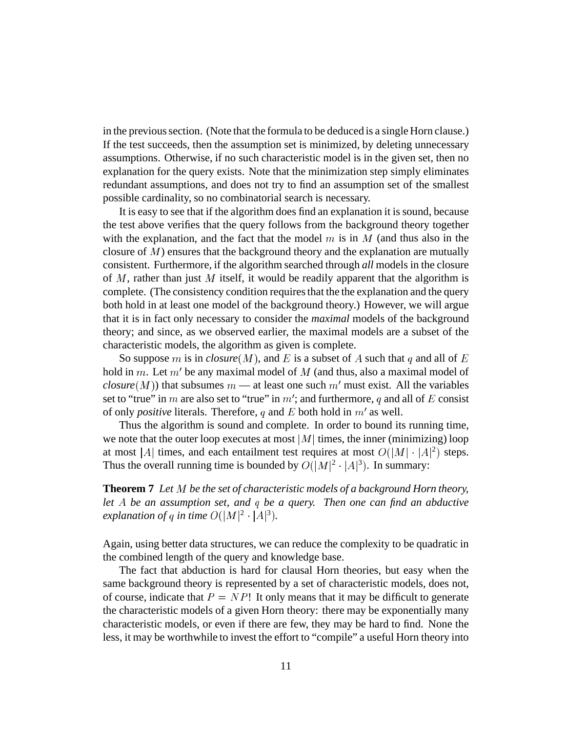in the previous section. (Note that the formula to be deduced is a single Horn clause.) If the test succeeds, then the assumption set is minimized, by deleting unnecessary assumptions. Otherwise, if no such characteristic model is in the given set, then no explanation for the query exists. Note that the minimization step simply eliminates redundant assumptions, and does not try to find an assumption set of the smallest possible cardinality, so no combinatorial search is necessary.

It is easy to see that if the algorithm does find an explanation it issound, because the test above verifies that the query follows from the background theory together with the explanation, and the fact that the model  $m$  is in  $M$  (and thus also in the closure of  $M$ ) ensures that the background theory and the explanation are mutually consistent. Furthermore, if the algorithm searched through *all* models in the closure of  $M$ , rather than just  $M$  itself, it would be readily apparent that the algorithm is complete. (The consistency condition requires that the the explanation and the query both hold in at least one model of the background theory.) However, we will argue that it is in fact only necessary to consider the *maximal* models of the background theory; and since, as we observed earlier, the maximal models are a subset of the characteristic models, the algorithm as given is complete.

So suppose m is in *closure*  $(M)$ , and E is a subset of A such that q and all of E hold in m. Let  $m'$  be any maximal model of M (and thus, also a maximal model of *closure*  $(M)$ ) that subsumes  $m$  — at least one such  $m'$  must exist. All the variables set to "true" in  $m$  are also set to "true" in  $m'$ ; and furthermore,  $q$  and all of  $E$  consist of only *positive* literals. Therefore,  $q$  and  $E$  both hold in  $m'$  as well.

Thus the algorithm is sound and complete. In order to bound its running time, we note that the outer loop executes at most  $|M|$  times, the inner (minimizing) loop at most |A| times, and each entailment test requires at most  $O(|M|\cdot|A|^2)$  steps. Thus the overall running time is bounded by  $O(|M|^2 \cdot |A|^3)$ . In summary:

**Theorem 7** Let M be the set of characteristic models of a background Horn theory, *let* ¤ *be an assumption set, and be a query. Then one can find an abductive explanation of q in time*  $O(|M|^2 \cdot |A|^3)$ .

Again, using better data structures, we can reduce the complexity to be quadratic in the combined length of the query and knowledge base.

The fact that abduction is hard for clausal Horn theories, but easy when the same background theory is represented by a set of characteristic models, does not, of course, indicate that  $P = NP!$  It only means that it may be difficult to generate the characteristic models of a given Horn theory: there may be exponentially many characteristic models, or even if there are few, they may be hard to find. None the less, it may be worthwhile to invest the effort to "compile" a useful Horn theory into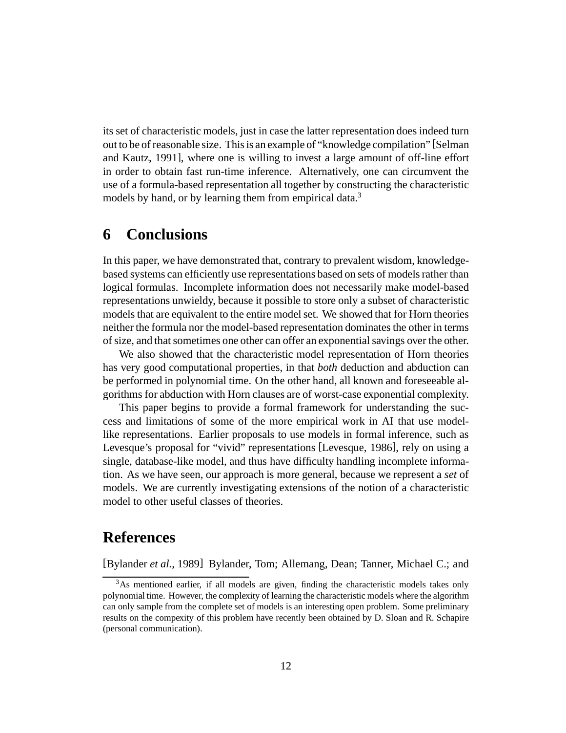its set of characteristic models, just in case the latter representation does indeed turn out to be of reasonable size. Thisis an example of "knowledge compilation" [Selman and Kautz, 1991], where one is willing to invest a large amount of off-line effort in order to obtain fast run-time inference. Alternatively, one can circumvent the use of a formula-based representation all together by constructing the characteristic models by hand, or by learning them from empirical data.<sup>3</sup>

# **6 Conclusions**

In this paper, we have demonstrated that, contrary to prevalent wisdom, knowledgebased systems can efficiently use representations based on sets of models rather than logical formulas. Incomplete information does not necessarily make model-based representations unwieldy, because it possible to store only a subset of characteristic models that are equivalent to the entire model set. We showed that for Horn theories neither the formula nor the model-based representation dominates the other in terms of size, and that sometimes one other can offer an exponential savings over the other.

We also showed that the characteristic model representation of Horn theories has very good computational properties, in that *both* deduction and abduction can be performed in polynomial time. On the other hand, all known and foreseeable algorithms for abduction with Horn clauses are of worst-case exponential complexity.

This paper begins to provide a formal framework for understanding the success and limitations of some of the more empirical work in AI that use modellike representations. Earlier proposals to use models in formal inference, such as Levesque's proposal for "vivid" representations [Levesque, 1986], rely on using a single, database-like model, and thus have difficulty handling incomplete information. As we have seen, our approach is more general, because we represent a *set* of models. We are currently investigating extensions of the notion of a characteristic model to other useful classes of theories.

# **References**

[Bylander *et al.*, 1989] Bylander, Tom; Allemang, Dean; Tanner, Michael C.; and

<sup>&</sup>lt;sup>3</sup>As mentioned earlier, if all models are given, finding the characteristic models takes only polynomialtime. However, the complexity of learning the characteristic models where the algorithm can only sample from the complete set of models is an interesting open problem. Some preliminary results on the compexity of this problem have recently been obtained by D. Sloan and R. Schapire (personal communication).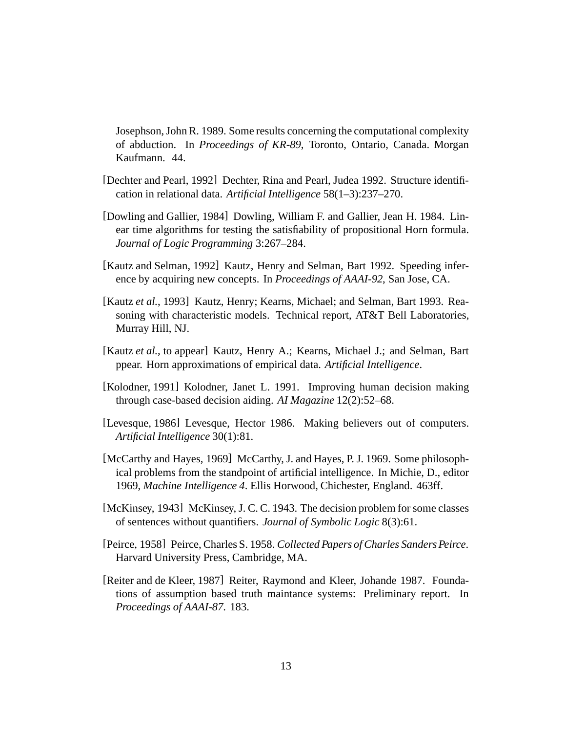Josephson,John R. 1989. Some results concerning the computational complexity of abduction. In *Proceedings of KR-89*, Toronto, Ontario, Canada. Morgan Kaufmann. 44.

- [Dechter and Pearl, 1992] Dechter, Rina and Pearl, Judea 1992. Structure identification in relational data. *Artificial Intelligence* 58(1–3):237–270.
- [Dowling and Gallier, 1984] Dowling, William F. and Gallier, Jean H. 1984. Linear time algorithms for testing the satisfiability of propositional Horn formula. *Journal of Logic Programming* 3:267–284.
- [Kautz and Selman, 1992] Kautz, Henry and Selman, Bart 1992. Speeding inference by acquiring new concepts. In *Proceedings of AAAI-92*, San Jose, CA.
- [Kautz *et al.*, 1993] Kautz, Henry; Kearns, Michael; and Selman, Bart 1993. Reasoning with characteristic models. Technical report, AT&T Bell Laboratories, Murray Hill, NJ.
- [Kautz *et al.*, to appear] Kautz, Henry A.; Kearns, Michael J.; and Selman, Bart ppear. Horn approximations of empirical data. *Artificial Intelligence*.
- [Kolodner, 1991] Kolodner, Janet L. 1991. Improving human decision making through case-based decision aiding. *AI Magazine* 12(2):52–68.
- [Levesque, 1986] Levesque, Hector 1986. Making believers out of computers. *Artificial Intelligence* 30(1):81.
- [McCarthy and Hayes, 1969] McCarthy, J. and Hayes, P. J. 1969. Some philosophical problems from the standpoint of artificial intelligence. In Michie, D., editor 1969, *Machine Intelligence 4*. Ellis Horwood, Chichester, England. 463ff.
- [McKinsey, 1943] McKinsey, J. C. C. 1943. The decision problem for some classes of sentences without quantifiers. *Journal of Symbolic Logic* 8(3):61.
- [Peirce, 1958] Peirce, Charles S. 1958. *Collected Papers ofCharles SandersPeirce*. Harvard University Press, Cambridge, MA.
- [Reiter and de Kleer, 1987] Reiter, Raymond and Kleer, Johande 1987. Foundations of assumption based truth maintance systems: Preliminary report. In *Proceedings of AAAI-87*. 183.